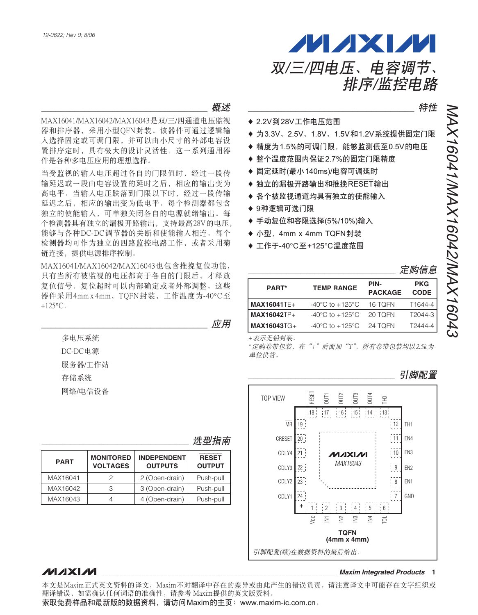

``````````````````````````````````` গၤ

MAX16041/MAX16042/MAX16043是双/三/四通道电压监视 器和排序器, 采用小型QFN封装。该器件可通过逻辑输 入选择固定或可调门限,并可以由小尺寸的外部电容设 置排序定时, 具有极大的设计灵活性。这一系列通用器 件是各种多电压应用的理想选择。

当受监视的输入电压超过各自的门限值时, 经过一段传 输延迟或一段由电容设置的延时之后,相应的输出变为 高电平。当输入电压跌落到门限以下时,经过一段传输 延迟之后, 相应的输出变为低电平。每个检测器都包含 独立的使能输入,可单独关闭各自的电源就绪输出。每 个检测器具有独立的漏极开路输出, 支持最高28V的电压, 能够与各种DC-DC调节器的关断和使能输入相连。每个 检测器均可作为独立的四路监控电路工作, 或者采用菊 链连接, 提供电源排序控制。

MAX16041/MAX16042/MAX16043也包含推挽复位功能, 只有当所有被监视的电压都高于各自的门限后,才释放 复位信号。复位超时可以内部确定或者外部调整。这些 器件采用4mm x 4mm, TQFN封装, 工作温度为-40°C至  $+125$ °C<sub>a</sub>

|         | 应用 |
|---------|----|
| 多电压系统   |    |
| DC-DC电源 |    |
| 服务器/工作站 |    |
| 存储系统    |    |
| 网络/电信设备 |    |

### 洗型指南

| <b>PART</b> | <b>MONITORED</b><br><b>VOLTAGES</b> | <b>INDEPENDENT</b><br><b>OUTPUTS</b> |           |
|-------------|-------------------------------------|--------------------------------------|-----------|
| MAX16041    |                                     | 2 (Open-drain)                       | Push-pull |
| MAX16042    |                                     | 3 (Open-drain)                       | Push-pull |
| MAX16043    |                                     | 4 (Open-drain)                       | Push-pull |

## **MAXIM**

本文是Maxim正式英文资料的译文, Maxim不对翻译中存在的差异或由此产生的错误负责。请注意译文中可能存在文字组织或 翻译错误, 如需确认任何词语的准确性, 请参考 Maxim提供的英文版资料。

索取免费样品和最新版的数据资料,请访问Maxim的主页:www.maxim-ic.com.cn。

``````````````````````````````````` ᄂቶ

- ◆ 2.2V到28V工作电压范围
- ◆ 为3.3V、2.5V、1.8V、1.5V和1.2V系统提供固定门限
- ♦ 精度为1.5%的可调门限,能够监测低至0.5V的电压
- ◆ 整个温度范围内保证2.7%的固定门限精度
- ◆ 固定延时(最小140ms)/电容可调延时
- ◆ 独立的漏极开路输出和推挽 $\overline{\text{RESET}}$ 输出
- ♦ 各个被监视通道均具有独立的使能输入
- ◆ 9种逻辑可选门限
- ◆ 手动复位和容限选择(5%/10%)输入
- ◆ 小型, 4mm x 4mm TQFN封装
- ♦ 工作于-40°C至+125°C温度范围

| 定购信息 |
|------|
|      |

| PART*              | <b>TEMP RANGE</b>                           | PIN-<br><b>PACKAGE</b> | <b>PKG</b><br><b>CODE</b> |
|--------------------|---------------------------------------------|------------------------|---------------------------|
| <b>MAX16041TE+</b> | -40 $^{\circ}$ C to +125 $^{\circ}$ C       | 16 TOFN                | T1644-4                   |
| $MAX16042TP+$      | -40°C to +125°C                             | 20 TOFN                | T2044-3                   |
| $MAX16043TG+$      | $-40^{\circ}$ C to $+125^{\circ}$ C 24 TOFN |                        | T2444-4                   |

+表示无铅封装。

\*定购卷带包装, 在"+"后面加"T"。所有卷带包装均以2.5k为 单位供货。

引脚配置



**\_\_\_\_\_\_\_\_\_\_\_\_\_\_\_\_\_\_\_\_\_\_\_\_\_\_\_\_\_\_\_\_\_\_\_\_\_\_\_\_\_\_\_\_\_\_\_\_\_\_\_\_\_\_\_\_\_\_\_\_\_\_\_\_** *Maxim Integrated Products* **1**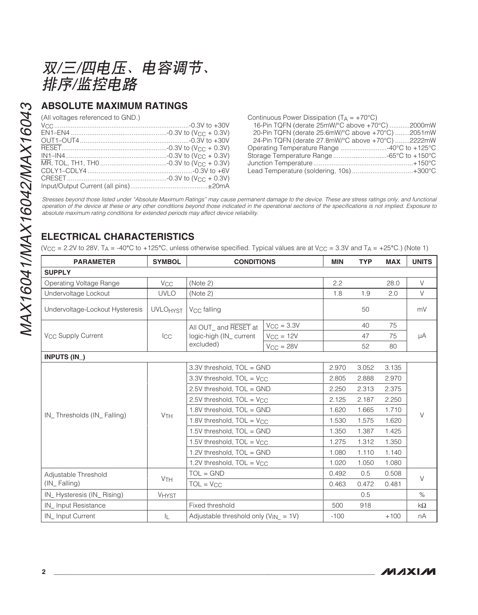双/三/四电压、电容调节、 排序/监控电路

# **ABSOLUTE MAXIMUM RATINGS**

(All voltages referenced to GND.)

| Continuous Power Dissipation $(T_A = +70^{\circ}C)$ |  |
|-----------------------------------------------------|--|
| 16-Pin TQFN (derate 25mW/°C above +70°C) 2000mW     |  |
| 20-Pin TQFN (derate 25.6mW/°C above +70°C) 2051mW   |  |
| 24-Pin TQFN (derate 27.8mW/°C above +70°C) 2222mW   |  |
|                                                     |  |
|                                                     |  |
|                                                     |  |
| Lead Temperature (soldering, 10s)+300°C             |  |

Stresses beyond those listed under "Absolute Maximum Ratings" may cause permanent damage to the device. These are stress ratings only, and functional operation of the device at these or any other conditions beyond those indicated in the operational sections of the specifications is not implied. Exposure to absolute maximum rating conditions for extended periods may affect device reliability.

# **ELECTRICAL CHARACTERISTICS**

(VCC = 2.2V to 28V, T A = -40 **°**C to +125 **°**C, unless otherwise specified. Typical values are at VCC = 3.3V and T A = +25 **°**C.) (Note 1)

| <b>PARAMETER</b>                          | <b>SYMBOL</b>         | <b>CONDITIONS</b>                         |                 | <b>MIN</b> | <b>TYP</b> | <b>MAX</b> | <b>UNITS</b> |
|-------------------------------------------|-----------------------|-------------------------------------------|-----------------|------------|------------|------------|--------------|
| <b>SUPPLY</b>                             |                       |                                           |                 |            |            |            |              |
| Operating Voltage Range                   | <b>V<sub>CC</sub></b> | (Note 2)                                  |                 | 2.2        |            | 28.0       | $\vee$       |
| Undervoltage Lockout                      | <b>UVLO</b>           | (Note 2)                                  |                 | 1.8        | 1.9        | 2.0        | $\vee$       |
| Undervoltage-Lockout Hysteresis           | <b>UVLOHYST</b>       | V <sub>CC</sub> falling                   |                 |            | 50         |            | mV           |
|                                           |                       | All OUT_ and RESET at                     | $V_{CC} = 3.3V$ |            | 40         | 75         |              |
| V <sub>CC</sub> Supply Current            | $_{\text{ICC}}$       | logic-high (IN_current                    | $V_{CC} = 12V$  |            | 47         | 75         | μA           |
|                                           |                       | excluded)                                 | $V_{CC} = 28V$  |            | 52         | 80         |              |
| INPUTS (IN_)                              |                       |                                           |                 |            |            |            |              |
|                                           |                       | 3.3V threshold, TOL = GND                 |                 | 2.970      | 3.052      | 3.135      | $\vee$       |
|                                           |                       | 3.3V threshold, TOL = V <sub>CC</sub>     |                 | 2.805      | 2.888      | 2.970      |              |
|                                           |                       | 2.5V threshold, TOL = GND                 |                 | 2.250      | 2.313      | 2.375      |              |
|                                           |                       | 2.5V threshold, $TOL = V_{CC}$            |                 | 2.125      | 2.187      | 2.250      |              |
| IN_Thresholds (IN_Falling)                | <b>V<sub>TH</sub></b> | 1.8V threshold, TOL = GND                 |                 | 1.620      | 1.665      | 1.710      |              |
|                                           |                       | 1.8V threshold, $TOL = V_{CC}$            |                 | 1.530      | 1.575      | 1.620      |              |
|                                           |                       | 1.5V threshold, TOL = GND                 |                 | 1.350      | 1.387      | 1.425      |              |
|                                           |                       | 1.5V threshold, TOL = V <sub>CC</sub>     |                 | 1.275      | 1.312      | 1.350      |              |
|                                           |                       | 1.2V threshold, TOL = GND                 |                 | 1.080      | 1.110      | 1.140      |              |
|                                           |                       | 1.2V threshold, TOL = V <sub>CC</sub>     |                 | 1.020      | 1.050      | 1.080      |              |
| Adjustable Threshold                      |                       | $TOL = GND$                               |                 | 0.492      | 0.5        | 0.508      | $\vee$       |
| <b>V<sub>TH</sub></b><br>$(IN_F$ Falling) |                       | $TOL = V_{CC}$                            |                 | 0.463      | 0.472      | 0.481      |              |
| IN_Hysteresis (IN_Rising)                 | <b>VHYST</b>          |                                           |                 |            | 0.5        |            | $\%$         |
| IN_Input Resistance                       |                       | Fixed threshold                           |                 | 500        | 918        |            | $k\Omega$    |
| IN_Input Current                          | IL.                   | Adjustable threshold only $(V_{IN} = 1V)$ |                 | $-100$     |            | $+100$     | nA           |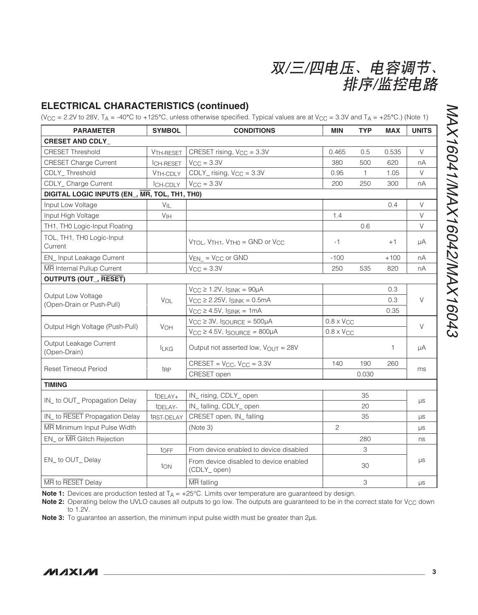| 双/三/四电压、电容调节、 |         |  |
|---------------|---------|--|
|               | 排序/监控电路 |  |

# **ELECTRICAL CHARACTERISTICS (continued)**

(VCC = 2.2V to 28V, T A = -40 **°**C to +125 **°**C, unless otherwise specified. Typical values are at VCC = 3.3V and T A = +25 **°**C.) (Note 1)

| <b>PARAMETER</b>                                | <b>SYMBOL</b>         | <b>CONDITIONS</b>                                                               | <b>MIN</b>          | <b>TYP</b>          | <b>MAX</b> | <b>UNITS</b> |
|-------------------------------------------------|-----------------------|---------------------------------------------------------------------------------|---------------------|---------------------|------------|--------------|
| <b>CRESET AND CDLY_</b>                         |                       |                                                                                 |                     |                     |            |              |
| <b>CRESET Threshold</b>                         | V <sub>TH-RESET</sub> | CRESET rising, V <sub>CC</sub> = 3.3V                                           | 0.465               | 0.5                 | 0.535      | $\vee$       |
| <b>CRESET Charge Current</b>                    | <b>ICH-RESET</b>      | $V_{CC} = 3.3V$                                                                 | 380                 | 500                 | 620        | nA           |
| CDLY Threshold                                  | VTH-CDLY              | $CDLY$ rising, $V_{CC} = 3.3V$                                                  | 0.95                | 1                   | 1.05       | V            |
| CDLY_Charge Current                             | ICH-CDLY              | $V_{\text{CC}} = 3.3V$                                                          | 200                 | 250                 | 300        | пA           |
| DIGITAL LOGIC INPUTS (EN_, MR, TOL, TH1, TH0)   |                       |                                                                                 |                     |                     |            |              |
| Input Low Voltage                               | $V_{IL}$              |                                                                                 |                     |                     | 0.4        | $\vee$       |
| Input High Voltage                              | V <sub>IH</sub>       |                                                                                 | 1.4                 |                     |            | $\vee$       |
| TH1, TH0 Logic-Input Floating                   |                       |                                                                                 |                     | 0.6                 |            | $\vee$       |
| TOL, TH1, TH0 Logic-Input<br>Current            |                       | $V_{\text{TOL}}$ , $V_{\text{TH1}}$ , $V_{\text{TH0}}$ = GND or $V_{\text{CC}}$ | -1                  |                     | $+1$       | μA           |
| EN_Input Leakage Current                        |                       | $V_{EN}$ = $V_{CC}$ or GND                                                      | $-100$              |                     | $+100$     | nA           |
| MR Internal Pullup Current                      |                       | $V_{CC} = 3.3V$                                                                 | 250                 | 535                 | 820        | nA           |
| <b>OUTPUTS (OUT_, RESET)</b>                    |                       |                                                                                 |                     |                     |            |              |
|                                                 | VOL                   | $V_{CC} \ge 1.2V$ , $I_{SINK} = 90\mu A$                                        |                     |                     | 0.3        |              |
| Output Low Voltage<br>(Open-Drain or Push-Pull) |                       | $V_{CC} \geq 2.25V$ , $I_{SINK} = 0.5mA$                                        |                     |                     | 0.3        | $\vee$       |
|                                                 |                       | $V_{CC} \geq 4.5V$ , $I_{SINK} = 1mA$                                           |                     |                     | 0.35       |              |
|                                                 |                       | $V_{CC} \geq 3V$ , ISOURCE = 500µA                                              |                     | $0.8 \times V_{CC}$ |            | $\vee$       |
| Output High Voltage (Push-Pull)                 | VOH                   | $V_{CC} \ge 4.5V$ , ISOURCE = 800µA                                             | $0.8 \times V_{CC}$ |                     |            |              |
| Output Leakage Current<br>(Open-Drain)          | <b>ILKG</b>           | Output not asserted low, $V_{OUT} = 28V$                                        |                     |                     | 1          | μA           |
|                                                 |                       | $CRESET = V_{CC}$ , $V_{CC} = 3.3V$                                             | 140                 | 190                 | 260        |              |
| <b>Reset Timeout Period</b>                     | t <sub>RP</sub>       | CRESET open                                                                     |                     | 0.030               |            | ms           |
| <b>TIMING</b>                                   |                       |                                                                                 |                     |                     |            |              |
| IN_ to OUT_ Propagation Delay                   | t <sub>DELAY+</sub>   | IN_rising, CDLY_open                                                            |                     | 35                  |            |              |
|                                                 | t <sub>DELAY-</sub>   | IN_falling, CDLY_open                                                           |                     | 20                  |            | μs           |
| IN_ to RESET Propagation Delay                  | tRST-DELAY            | CRESET open, IN_falling                                                         |                     | 35                  |            | μs           |
| MR Minimum Input Pulse Width                    |                       | (Note 3)                                                                        | 2                   |                     |            | μs           |
| EN_ or MR Glitch Rejection                      |                       |                                                                                 |                     | 280                 |            | ns           |
|                                                 | toFF                  | From device enabled to device disabled                                          | 3<br>30             |                     | μs         |              |
| EN_to OUT_Delay                                 | ton                   | From device disabled to device enabled<br>(CDLY_open)                           |                     |                     |            |              |
| MR to RESET Delay                               |                       | $\overline{\text{MR}}$ falling                                                  |                     | 3                   |            | μs           |

**Note 1:** Devices are production tested at T<sub>A</sub> = +25°C. Limits over temperature are guaranteed by design.

Note 2: Operating below the UVLO causes all outputs to go low. The outputs are guaranteed to be in the correct state for V<sub>CC</sub> down to 1.2V.

**Note 3:** To guarantee an assertion, the minimum input pulse width must be greater than 2μs.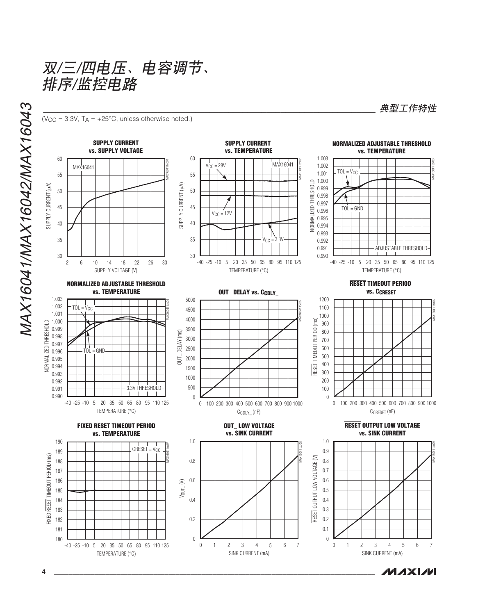双/三/四电压、电容调节、 排序/监控电路

 $(V_{\text{CC}} = 3.3V, T_A = +25^{\circ}\text{C}$ , unless otherwise noted.)

**SUPPLY CURRENT SUPPLY CURRENT NORMALIZED ADJUSTABLE THRESHOLD vs. SUPPLY VOLTAGE vs. TEMPERATURE vs. TEMPERATURE** 1.003 60 60 MAX16041 toc02 MAX16041 toc01 MAX16041  $V_{CC} = 28V$ <br>  $V_{CC} = 12V$ <br>  $V_{CC} = 3.3V$ <br>  $V_{CC} = 3.3V$ <br>  $V_{CC} = 3.3V$ <br>  $V_{CC} = 3.3V$ <br>  $V_{CC} = 3.3V$ <br>  $V_{CC} = 3.4V$ <br>  $V_{CC} = 3.3V$ <br>  $V_{CC} = 3.4V$ <br>  $V_{CC} = 12.5V$ <br>  $V_{CC} = 3.4V$ <br>  $V_{CC} = 12.5V$ <br>  $V_{CC} = 3.4V$ 1.002  $TOL = V_{CC}$ 1.001 55 55 1.000 NORMALIZED THRESHOLD SUPPLY CURRENT (MA) SUPPLY CURRENT (μA) SUPPLY CURRENT (uA) SUPPLY CURRENT (μA) 50 0.999 50 0.998 0.997 45 45  $\frac{1}{20}$  0.996 TOL = GND 0.995 40 40 0.994 0.993 35 35 0.992 0.991 ADJUSTABLE THRESHOLD 30 30 0.990  $-40 -25 -10 = 5$ 5 20 35 50 65 80 95 110  $-40 -25 -10 = 5$ 2 6 10 14 18 22 26 30 6 10 14 18 22 26 5 20 35 50 65 80 95 110 -40 125 SUPPLY VOLTAGE (V) TEMPERATURE ( °C) TEMPERATURE ( °C) **RESET TIMEOUT PERIOD NORMALIZED ADJUSTABLE THRESHOLD OUT\_DELAY vs. CCDLY\_ vs. TEMPERATURE vs. CCRESET** 1.003 1200 5000  $1100$ <br>  $1000$ <br>  $900$ <br>  $800$ <br>  $700$ <br>  $600$ <br>  $400$ <br>  $300$ <br>  $200$ <br>  $100$ 5000<br>4500<br>4000<br>3500<br>3000<br>2500<br>2000<br>1500<br>500<br>500 MAX16041 toc04  $\mathbf{I}$ MAX16041 toc05 1.002 1100  $TOL = V<sub>CC</sub>$ 4500 1.001 1000 4000  $(ms)$ 1.000 RESET TIMEOUT PERIOD (ms) THRESHOLD NORMALIZED THRESHOLD 900 0.999 3500 **TIMEOUT PERIOD** 800 DELAY (ms) OUT\_ DELAY (ms) 0.998 3000 700  $\leftarrow$ <br>TOL = GND 0.997 **JORMALIZED** 2500 600 0.996 500  $\overline{5}$ 0.995 2000 RESET<sup>-</sup> 400 0.994 1500 300 0.993 1000 0.992 200 3.3V THRESHOLD 500 0.991 100 0.990  $\mathbf 0$  $\boldsymbol{0}$ -25 -10 5 20 35 50 65 80 95 110 -40 125 100 200 300 400 500 600 700 800 900 0 1000 100 200 300 400 500 600 700 800 900 0 1000  $C_{CDI}$   $\vee$  (nF) CCRESET (nF) TEMPERATURE ( °C) **FIXED RESET TIMEOUT PERIOD OUT\_ LOW VOLTAGE RESET OUTPUT LOW VOLTAGE vs. TEMPERATURE vs. SINK CURRENT vs. SINK CURRENT**  $1.0$  $1.0$ 190 1.0<br>0.8<br>0.6<br>0.4<br>0.2<br>0 1.0<br>0.9<br>0.8<br>0.7<br>0.6<br>0.5<br>0.4<br>0.3<br>0.2<br>0.1<br>0 MAX16041 toc08 MAX16041 toc07  $CRESET = V<sub>CC</sub>$ 0.9 189 FIXED RESET TIMEOUT PERIOD (ms) FIXED RESET TIMEOUT PERIOD (ms) OUTPUT LOW VOLTAGE (V) RESET OUTPUT LOW VOLTAGE (V) 188 0.8 0.8 0.7 187 186 0.6 0.6  $V_{OUT\_}(V)$ 0.5 185 184 0.4 0.4 0.3 183 RESET 0.2 182 0.2 181 0.1  $\mathbf{0}$ 180  $\,0\,$ 1 2 3 6 1 2 3 4 0 1 2 3 4 5 6 7 4 5 0 1 2 3 4 5 6 7 5 6 -25 -10 5 20 35 50 65 80 95 110 -40 125

SINK CURRENT (mA)

**典型工作特性** 

MAX16041 toc03

MAX16041 toc06

MAX16041 toc09

SINK CURRENT (mA)

**MAXIM** 

TEMPERATURE ( °C)

MAX16041/MAX16042/MAX16043

MAX16041/MAX16042/MAX16043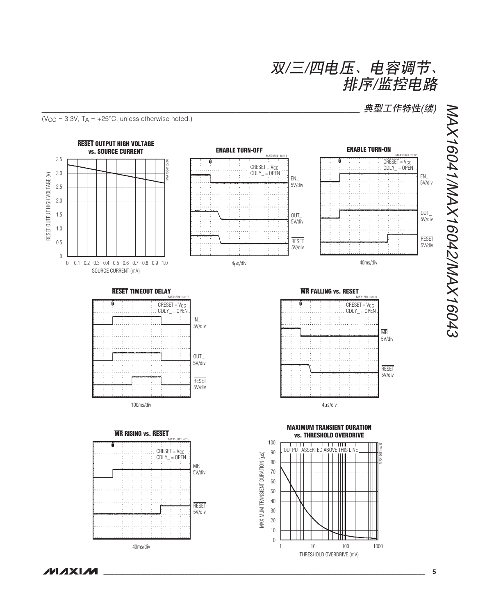典型工作特性(续)

 $(V_{\text{CC}} = 3.3V, T_A = +25^{\circ}\text{C}$ , unless otherwise noted.)



*\_\_\_\_\_\_\_\_\_\_\_\_\_\_\_\_\_\_\_\_\_\_\_\_\_\_\_\_\_\_\_\_\_\_\_\_\_\_\_\_\_\_\_\_\_\_\_\_\_\_\_\_\_\_\_\_\_\_\_\_\_\_\_\_\_\_\_\_\_\_\_\_\_\_\_\_\_\_\_\_\_\_\_\_\_\_\_*

MAX16041/MAX16042/MAX16043 NAX16041/MAX16042/MAX16043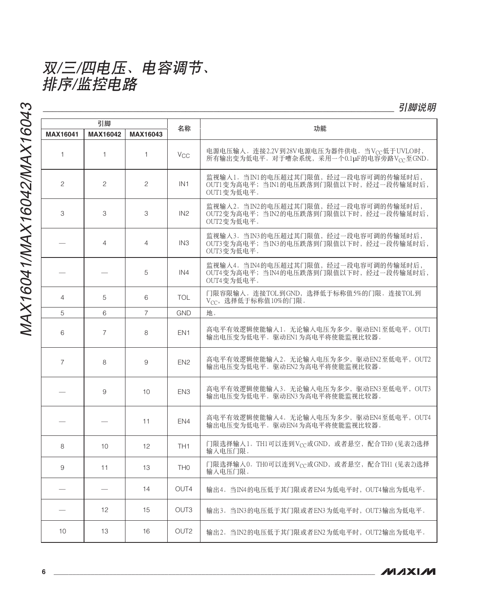双/三/四电压、电容调节、 排序/监控电路

MAX16041/MAX16042/MAX16043 MAX16041/MAX16042/MAX16043

| 引脚                                                    |                |                   | 功能                    |                                                                                               |  |
|-------------------------------------------------------|----------------|-------------------|-----------------------|-----------------------------------------------------------------------------------------------|--|
| <b>MAX16042</b><br><b>MAX16041</b><br><b>MAX16043</b> |                | 名称                |                       |                                                                                               |  |
| $\mathbf{1}$                                          | 1.             | $\mathbf{1}$      | <b>V<sub>CC</sub></b> | 电源电压输入。连接2.2V到28V电源电压为器件供电。当VCC低于UVLO时,<br>所有输出变为低电平。对于嘈杂系统,采用一个0.1µF的电容旁路Vcc至GND。            |  |
| $\overline{c}$                                        | 2              | $\overline{c}$    | IN1                   | 监视输入1。当IN1的电压超过其门限值, 经过一段电容可调的传输延时后,<br>OUT1变为高电平; 当IN1的电压跌落到门限值以下时, 经过一段传输延时后,<br>OUT1变为低电平。 |  |
| 3                                                     | 3              | 3                 | IN2                   | 监视输入2。当IN2的电压超过其门限值, 经过一段电容可调的传输延时后,<br>OUT2变为高电平; 当IN2的电压跌落到门限值以下时, 经过一段传输延时后,<br>OUT2变为低电平。 |  |
|                                                       | $\overline{4}$ | $\overline{4}$    | IN <sub>3</sub>       | 监视输人3。当IN3的电压超过其门限值, 经过一段电容可调的传输延时后,<br>OUT3变为高电平;当IN3的电压跌落到门限值以下时,经过一段传输延时后,<br>OUT3变为低电平。   |  |
|                                                       |                | 5                 | IN4                   | 监视输入4。当IN4的电压超过其门限值, 经过一段电容可调的传输延时后,<br>OUT4变为高电平; 当IN4的电压跌落到门限值以下时, 经过一段传输延时后,<br>OUT4变为低电平。 |  |
| $\overline{4}$                                        | 5              | 6                 | <b>TOL</b>            | 门限容限输入。连接TOL到GND,选择低于标称值5%的门限。连接TOL到<br>$V_{CC}$ , 选择低于标称值10%的门限。                             |  |
| 5                                                     | 6              | $\overline{7}$    | <b>GND</b>            | 地。                                                                                            |  |
| 6                                                     | $\overline{7}$ | 8                 | EN <sub>1</sub>       | 高电平有效逻辑使能输入1。无论输入电压为多少,驱动EN1至低电平,OUT1<br>输出电压变为低电平。驱动EN1为高电平将使能监视比较器。                         |  |
| $\overline{7}$                                        | 8              | 9                 | EN <sub>2</sub>       | 高电平有效逻辑使能输入2。无论输入电压为多少,驱动EN2至低电平, OUT2<br>输出电压变为低电平。驱动EN2为高电平将使能监视比较器。                        |  |
|                                                       | 9              | 10 <sup>°</sup>   | EN <sub>3</sub>       | 高电平有效逻辑使能输入3。无论输入电压为多少,驱动EN3至低电平, OUT3<br>输出电压变为低电平。驱动EN3为高电平将使能监视比较器。                        |  |
|                                                       |                | 11                | EN4                   | 高电平有效逻辑使能输入4。无论输入电压为多少,驱动EN4至低电平, OUT4<br>输出电压变为低电平。驱动EN4为高电平将使能监视比较器。                        |  |
| 8                                                     | 10             | $12 \overline{ }$ | TH <sub>1</sub>       | 门限选择输入1。TH1可以连到Vcc或GND, 或者悬空, 配合TH0 (见表2)选择<br>输入电压门限。                                        |  |
| 9                                                     | 11             | 13                | TH <sub>0</sub>       | 门限选择输入0。TH0可以连到V <sub>CC</sub> 或GND,或者悬空,配合TH1 (见表2)选择<br>输入电压门限。                             |  |
|                                                       |                | 14                | OUT4                  | 输出4。当IN4的电压低于其门限或者EN4为低电平时,OUT4输出为低电平。                                                        |  |
|                                                       | 12             | 15                | OUT <sub>3</sub>      | 输出3。当IN3的电压低于其门限或者EN3为低电平时,OUT3输出为低电平。                                                        |  |
| 10                                                    | 13             | 16                | OUT <sub>2</sub>      | 输出2。当IN2的电压低于其门限或者EN2为低电平时, OUT2输出为低电平。                                                       |  |

引脚说明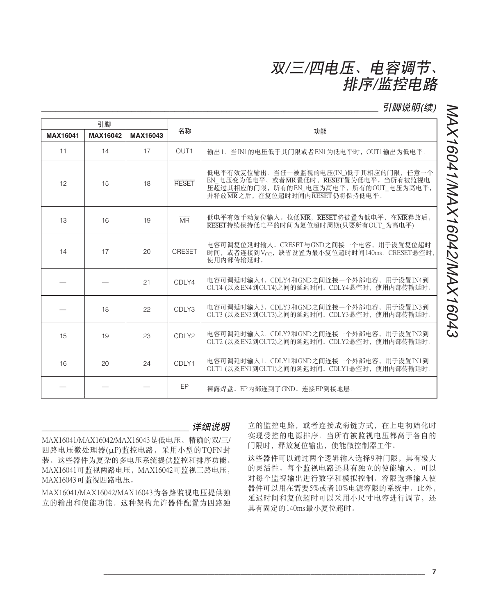引脚说明(续)

| 引脚       |          |          |                        |                                                                                                                                                              |
|----------|----------|----------|------------------------|--------------------------------------------------------------------------------------------------------------------------------------------------------------|
| MAX16041 | MAX16042 | MAX16043 | 名称                     | 功能                                                                                                                                                           |
| 11       | 14       | 17       | OUT <sub>1</sub>       | 输出1。当IN1的电压低于其门限或者EN1为低电平时,OUT1输出为低电平。                                                                                                                       |
| 12       | 15       | 18       | <b>RESET</b>           | 低电平有效复位输出。当任一被监视的电压(IN_)低于其相应的门限, 任意一个<br>EN_电压变为低电平, 或者MR置低时, RESET置为低电平。当所有被监视电<br>压超过其相应的门限,所有的EN_电压为高电平,所有的OUT_电压为高电平,<br>并释放MR之后, 在复位超时时间内RESET仍将保持低电平。 |
| 13       | 16       | 19       | $\overline{\text{MR}}$ | 低电平有效手动复位输入。拉低MR, RESET将被置为低电平, 在MR释放后,<br>RESET持续保持低电平的时间为复位超时周期(只要所有OUT_为高电平)                                                                              |
| 14       | 17       | 20       | <b>CRESET</b>          | 电容可调复位延时输入。CRESET与GND之间接一个电容,用于设置复位超时<br>时间, 或者连接到Vcc, 缺省设置为最小复位超时时间140ms。CRESET悬空时,<br>使用内部传输延时。                                                            |
|          |          | 21       | CDLY4                  | 电容可调延时输入4。CDLY4和GND之间连接一个外部电容,用于设置IN4到<br>OUT4 (以及EN4到OUT4)之间的延迟时间。CDLY4悬空时, 使用内部传输延时。                                                                       |
|          | 18       | 22       | CDLY3                  | 电容可调延时输入3。CDLY3和GND之间连接一个外部电容,用于设置IN3到<br>OUT3 (以及EN3到OUT3)之间的延迟时间。CDLY3悬空时, 使用内部传输延时。                                                                       |
| 15       | 19       | 23       | CDLY2                  | 电容可调延时输入2。CDLY2和GND之间连接一个外部电容, 用于设置IN2到<br>OUT2 (以及EN2到OUT2)之间的延迟时间。CDLY2悬空时, 使用内部传输延时。                                                                      |
| 16       | 20       | 24       | CDLY1                  | 电容可调延时输入1。CDLY1和GND之间连接一个外部电容, 用于设置IN1到<br>OUT1 (以及EN1到OUT1)之间的延迟时间。CDLY1悬空时, 使用内部传输延时。                                                                      |
|          |          |          | <b>EP</b>              | 裸露焊盘。EP内部连到了GND。连接EP到接地层。                                                                                                                                    |

详细说明 MAX16041/MAX16042/MAX16043是低电压、精确的双/三/ 四路电压微处理器(µP)监控电路,采用小型的TQFN封 装。这些器件为复杂的多电压系统提供监控和排序功能。  $MAX16041$ 可监视两路电压,  $MAX16042$ 可监视三路电压, MAX16043可监视四路电压。

MAX16041/MAX16042/MAX16043为各路监视电压提供独 立的输出和使能功能。这种架构允许器件配置为四路独

立的监控电路, 或者连接成菊链方式, 在上电初始化时 实现受控的电源排序。当所有被监视电压都高于各自的 门限时, 释放复位输出, 使能微控制器工作。

这些器件可以通过两个逻辑输入选择9种门限,具有极大 的灵活性。每个监视电路还具有独立的使能输入,可以 对每个监视输出进行数字和模拟控制。容限选择输入使 器件可以用在需要5%或者10%电源容限的系统中。此外, 延迟时间和复位超时可以采用小尺寸电容进行调节、还 具有固定的140ms最小复位超时。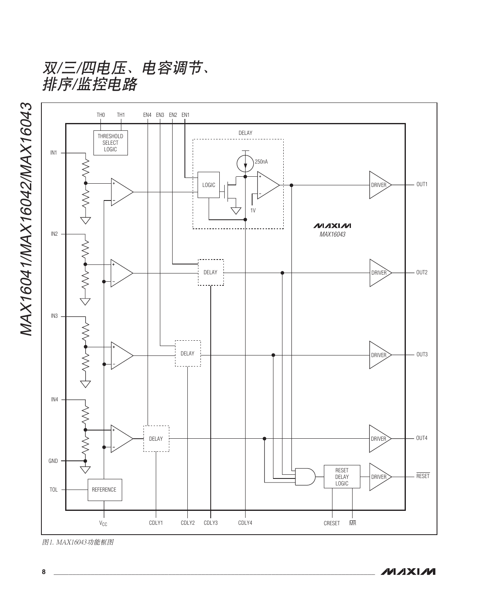双/三/四电压、电容调节、 排序/监控电路



图1. MAX16043功能框图

MAX16041/MAX16042/MAX16043 MAX16041/MAX16042/MAX16043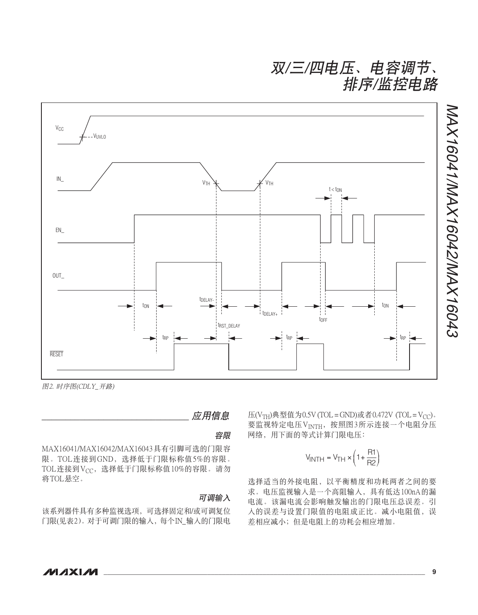

应用信息

容限

MAX16041/MAX16042/MAX16043具有引脚可选的门限容 限。TOL连接到GND, 选择低于门限标称值5%的容限。 TOL连接到Vcc,选择低于门限标称值10%的容限。请勿 将TOL悬空。

### 可调输入

该系列器件具有多种监视选项, 可选择固定和/或可调复位 门限(见表2)。对于可调门限的输入, 每个IN\_输入的门限电  $E(V<sub>TH</sub>)$ 典型值为0.5V (TOL = GND)或者0.472V (TOL = V $_{CC}$ ). 要监视特定电压VINTH, 按照图3所示连接一个电阻分压 网络, 用下面的等式计算门限电压:

$$
V_{\text{INTH}} = V_{\text{TH}} \times \left(1 + \frac{\text{R1}}{\text{R2}}\right)
$$

选择适当的外接电阻,以平衡精度和功耗两者之间的要 求。电压监视输入是一个高阻输入, 具有低达100nA的漏 电流。该漏电流会影响触发输出的门限电压总误差。引 入的误差与设置门限值的电阻成正比。减小电阻值,误 差相应减小;但是电阻上的功耗会相应增加。

NAX16041/MAX16042/MAX16043

MAX16041/MAX16042/MAX16043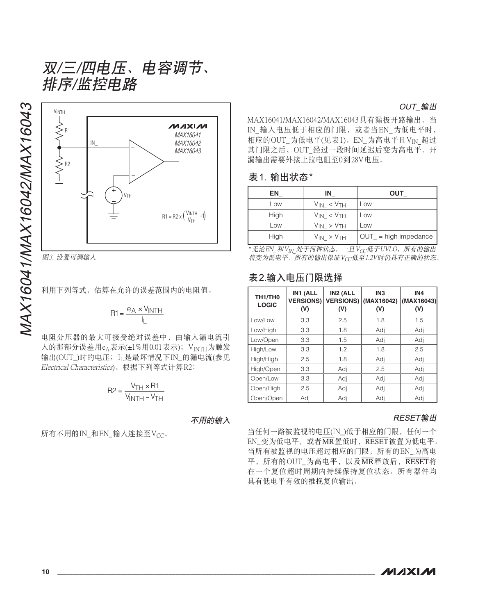

图3. 设置可调输入

$$
R1 = \frac{e_A \times V_{\text{INTH}}}{I_{\text{L}}}
$$

电阻分压器的最大可接受绝对误差中,由输入漏电流引 人的那部分误差用 $e_\mathrm{A}$ 表示(±1%用0.01表示);  $\rm\,V_{INTH}$ 为触发 输出(OUT\_)时的电压;I<sub>L</sub>是最坏情况下IN\_的漏电流(参见 Electrical Characteristics)。根据下列等式计算R2:

$$
R2 = \frac{V_{TH} \times R1}{V_{INTH} - V_{TH}}
$$

不用的输入

所有不用的IN\_和EN\_输入连接至V<sub>CC</sub>。

MAX16041/MAX16042/MAX16043具有漏极开路输出。当 IN 输入电压低于相应的门限, 或者当EN 为低电平时, 相应的OUT\_为低电平(见表1)。EN\_为高电平且VIN 超过 其门限之后, OUT 经过一段时间延迟后变为高电平。开 漏输出需要外接上拉电阻至0到28V电压。

#### 表1. 输出状态\*

| ΕN   | ΙN                  | <b>OUT</b>              |
|------|---------------------|-------------------------|
| Low  | $V_{IN} < V_{TH}$   | Low                     |
| High | $V_{IN} < V_{TH}$   | Low                     |
| Low  | $V_{IN} > V_{TH}$   | Low                     |
| High | $V_{IN}$ > $V_{TH}$ | $OUT_ = high$ impedance |

\* 无论EN\_和V<sub>IN</sub> 处于何种状态, 一旦Vcc低于UVLO, 所有的输出 将变为低电平。所有的输出保证Vcc低至1.2V时仍具有正确的状态。

## 表2.输入电压门限选择

| TH1/TH0<br><b>LOGIC</b> | IN1 (ALL<br><b>VERSIONS)</b><br>(V) | IN2 (ALL<br><b>VERSIONS)</b><br>(V) | IN <sub>3</sub><br>(MAX16042)<br>(V) | IN <sub>4</sub><br>(MAX16043)<br>(V) |
|-------------------------|-------------------------------------|-------------------------------------|--------------------------------------|--------------------------------------|
| Low/Low                 | 3.3                                 | 2.5                                 | 1.8                                  | 1.5                                  |
| Low/High                | 3.3                                 | 1.8                                 | Adj                                  | Adj                                  |
| Low/Open                | 3.3                                 | 1.5                                 | Adj                                  | Adj                                  |
| High/Low                | 3.3                                 | 1.2                                 | 1.8                                  | 2.5                                  |
| High/High               | 2.5                                 | 1.8                                 | Adj                                  | Adj                                  |
| High/Open               | 3.3                                 | Adj                                 | 2.5                                  | Adj                                  |
| Open/Low                | 3.3                                 | Adj                                 | Adj                                  | Adj                                  |
| Open/High               | 2.5                                 | Adj                                 | Adj                                  | Adj                                  |
| Open/Open               | Adj                                 | Adj                                 | Adi                                  | Adi                                  |

### RESET输出

当任何一路被监视的电压(IN)低于相应的门限,任何一个 EN\_变为低电平, 或者MR置低时, RESET被置为低电平。 当所有被监视的电压超过相应的门限,所有的EN 为高电 平,所有的OUT\_为高电平,以及MR释放后,RESET将 在一个复位超时周期内持续保持复位状态。所有器件均 具有低电平有效的推挽复位输出。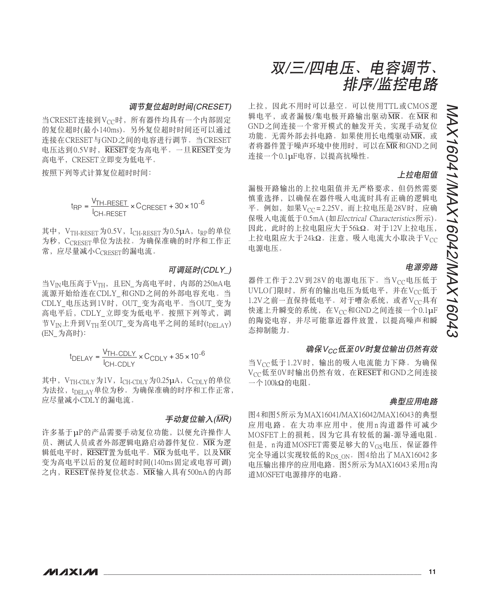#### 调节复位超时时间(CRESET)

当CRESET连接到V<sub>CC</sub>时, 所有器件均具有一个内部固定 的复位超时(最小140ms)。另外复位超时时间还可以通过 连接在CRESET与GND之间的电容进行调节。当CRESET 电压达到0.5V时, RESET变为高电平。一旦RESET变为 高电平, CRESET立即变为低电平。

按照下列等式计算复位超时时间:

t<sub>RP</sub> = <sup>V</sup>TH-RESET × C<sub>CRESET</sub> + 30 ×<br>|CH-RESET 30 $\times$  10 $^{-6}$ 

其中, V<sub>TH-RESET</sub>为0.5V, I<sub>CH-RESET</sub>为0.5µA, t<sub>RP</sub>的单位 为秒, CCRESET单位为法拉。为确保准确的时序和工作正 常,应尽量减小CCRESET的漏电流。

#### 可调延时(CDLY)

当VIN电压高于VTH, 且EN\_为高电平时, 内部的250nA电 流源开始给连在CDLY 和GND之间的外部电容充电。当 CDLY 电压达到1V时, OUT 变为高电平。当OUT 变为 高电平后, CDLY 立即变为低电平。按照下列等式, 调 节V<sub>IN</sub>上升到V<sub>TH</sub>至OUT\_变为高电平之间的延时(t<sub>DELAY</sub>) (EN 为高时):

> <sup>t</sup> <sup>V</sup> <sup>I</sup> DELAY <sup>C</sup> TH CDLY CH CDLY = × +× CDLY <sup>−</sup> − 35  $\times$  10 $^{-6}$

其中, V<sub>TH-CDLY</sub>为1V, I<sub>CH-CDLY</sub>为0.25µA, C<sub>CDLY</sub>的单位 为法拉, tpELAY单位为秒。为确保准确的时序和工作正常, 应尽量减小CDLY的漏电流。

### 手动复位输入(MR)

许多基于µP的产品需要手动复位功能, 以便允许操作人 员、测试人员或者外部逻辑电路启动器件复位。MR为逻 辑低电平时, RESET置为低电平。MR为低电平, 以及MR 变为高电平以后的复位超时时间(140ms固定或电容可调)  $\dot{\mathcal{Z}}$ 内,  $\overline{\text{RESET}}$ 保持复位状态。 $\overline{\text{MR}}$ 输入具有500nA的内部



上拉,因此不用时可以悬空。可以使用TTL或CMOS逻 辑电平, 或者漏极/集电极开路输出驱动MR。在MR和 GND之间连接一个常开模式的触发开关, 实现手动复位 功能。无需外部去抖电路。如果使用长电缆驱动MR,或 者将器件置于噪声环境中使用时, 可以在MR和GND之间 连接一个0.1uF电容, 以提高抗噪性。

### 上拉电阻值

漏极开路输出的上拉电阻值并无严格要求,但仍然需要 慎重选择,以确保在器件吸入电流时具有正确的逻辑电 平。例如, 如果 $V_{CC} = 2.25V$ , 而上拉电压是 $28V$ 时, 应确 保吸入电流低于0.5mA (如Electrical Characteristics所示)。 因此, 此时的上拉电阻应大于56kΩ。对于12V上拉电压, 上拉电阻应大于24kΩ。注意, 吸入电流大小取决于Vcc 电源电压。

### 电源旁路

器件工作于2.2V到28V的电源电压下。当Vcc电压低于 UVLO门限时, 所有的输出电压为低电平, 并在Vcc低于 1.2V之前一直保持低电平。对于嘈杂系统, 或者Vcc具有 快速上升瞬变的系统, 在Vcc和GND之间连接一个0.1μF 的陶瓷电容,并尽可能靠近器件放置,以提高噪声和瞬 态抑制能力。

#### 确保Vcc低至OV时复位输出仍然有效

当Vcc低于1.2V时, 输出的吸入电流能力下降。为确保 Vcc低至0V时输出仍然有效, 在RESET和GND之间连接  $-\bigtriangleup$ 100kΩ的电阻。

#### 典型应用电路

图4和图5所示为MAX16041/MAX16042/MAX16043的典型 应用电路。在大功率应用中, 使用n沟道器件可减少 MOSFET上的损耗, 因为它具有较低的漏-源导通电阻。 但是, n沟道MOSFET需要足够大的VGs电压, 保证器件 完全导通以实现较低的Rps ON。图4给出了MAX16042多 电压输出排序的应用电路。图5所示为MAX16043采用n沟 道MOSFET电源排序的电路。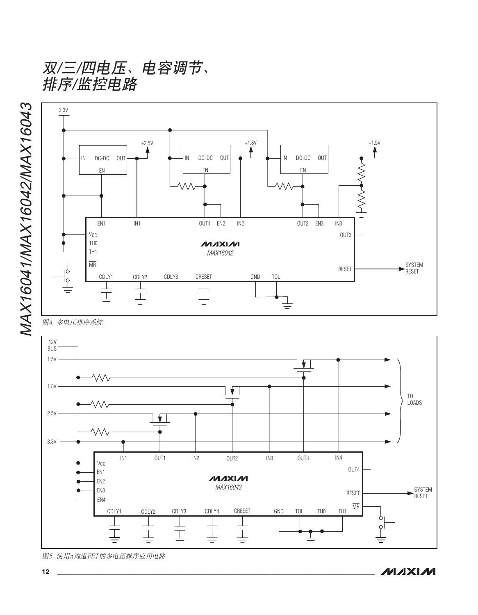双/三/四电压、电容调节、 排序/监控电路



图4. 多电压排序系统



图5. 使用n沟道FET的多电压排序应用电路

MAX16041/MAX16042/MAX16043 MAX16041/MAX16042/MAX16043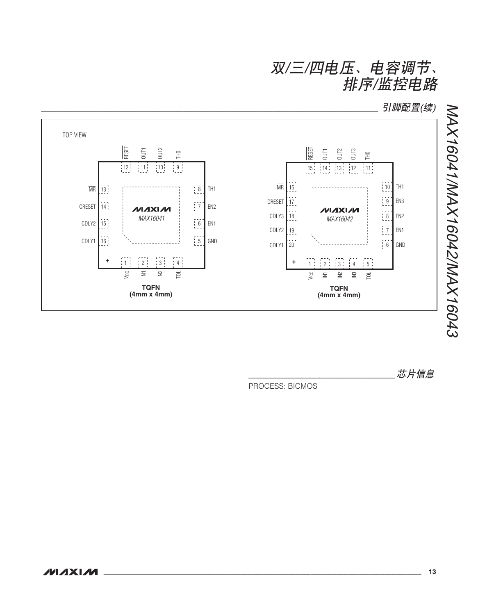双/三/四电压、电容调节、 排序/监控电路

引脚配置(续)



芯片信息

PROCESS: BICMOS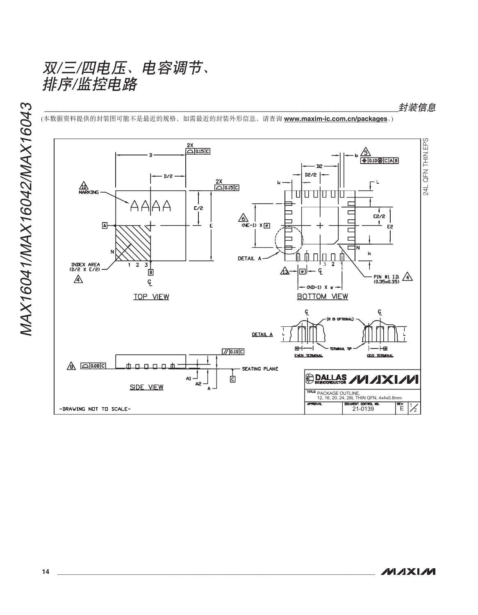

(本数据资料提供的封装图可能不是最近的规格,如需最近的封装外形信息,请查询 <u>www.maxim-ic.com.cn/packages</u>。)

``````````````````````````````````````````````````````````````````````````````ॖᓤቧᇦ